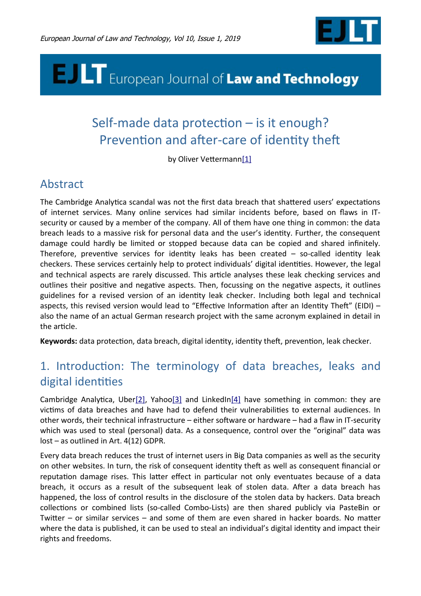

# **E. ILT** European Journal of Law and Technology

# Self-made data protection - is it enough? Prevention and after-care of identity theft

<span id="page-0-3"></span>by Oliver Vetterman[n\[1\]](#page-15-3)

# Abstract

The Cambridge Analytica scandal was not the first data breach that shattered users' expectations of internet services. Many online services had similar incidents before, based on faws in ITsecurity or caused by a member of the company. All of them have one thing in common: the data breach leads to a massive risk for personal data and the user's identty. Further, the consequent damage could hardly be limited or stopped because data can be copied and shared infnitely. Therefore, preventive services for identity leaks has been created  $-$  so-called identity leak checkers. These services certainly help to protect individuals' digital identities. However, the legal and technical aspects are rarely discussed. This article analyses these leak checking services and outlines their positive and negative aspects. Then, focussing on the negative aspects, it outlines guidelines for a revised version of an identty leak checker. Including both legal and technical aspects, this revised version would lead to "Effective Information after an Identity Theft" (EIDI)  $$ also the name of an actual German research project with the same acronym explained in detail in the article.

Keywords: data protection, data breach, digital identity, identity theft, prevention, leak checker.

# 1. Introduction: The terminology of data breaches, leaks and digital identities

<span id="page-0-2"></span><span id="page-0-1"></span><span id="page-0-0"></span>Cambridge Analytica, Ube[r\[2\],](#page-15-2) Yaho[o\[3\]](#page-15-1) and LinkedI[n\[4\]](#page-15-0) have something in common: they are victms of data breaches and have had to defend their vulnerabilites to external audiences. In other words, their technical infrastructure – either software or hardware – had a flaw in IT-security which was used to steal (personal) data. As a consequence, control over the "original" data was lost – as outlined in Art. 4(12) GDPR.

Every data breach reduces the trust of internet users in Big Data companies as well as the security on other websites. In turn, the risk of consequent identity theft as well as consequent financial or reputation damage rises. This latter effect in particular not only eventuates because of a data breach, it occurs as a result of the subsequent leak of stolen data. Afer a data breach has happened, the loss of control results in the disclosure of the stolen data by hackers. Data breach collections or combined lists (so-called Combo-Lists) are then shared publicly via PasteBin or Twiter – or similar services – and some of them are even shared in hacker boards. No mater where the data is published, it can be used to steal an individual's digital identity and impact their rights and freedoms.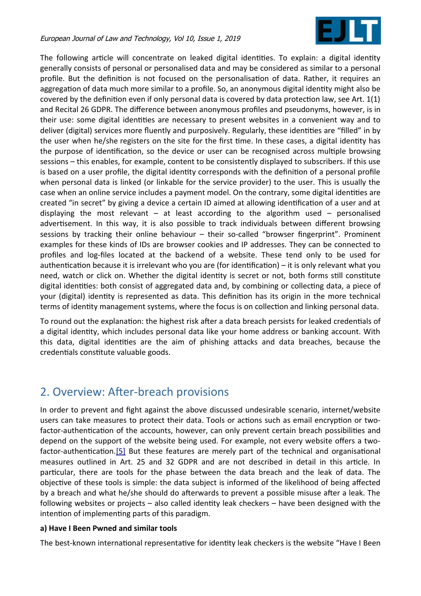

The following article will concentrate on leaked digital identities. To explain: a digital identity generally consists of personal or personalised data and may be considered as similar to a personal profile. But the definition is not focused on the personalisation of data. Rather, it requires an aggregation of data much more similar to a profile. So, an anonymous digital identity might also be covered by the definition even if only personal data is covered by data protection law, see Art. 1(1) and Recital 26 GDPR. The diference between anonymous profles and pseudonyms, however, is in their use: some digital identities are necessary to present websites in a convenient way and to deliver (digital) services more fluently and purposively. Regularly, these identities are "filled" in by the user when he/she registers on the site for the frst tme. In these cases, a digital identty has the purpose of identification, so the device or user can be recognised across multiple browsing sessions – this enables, for example, content to be consistently displayed to subscribers. If this use is based on a user profle, the digital identty corresponds with the defniton of a personal profle when personal data is linked (or linkable for the service provider) to the user. This is usually the case when an online service includes a payment model. On the contrary, some digital identities are created "in secret" by giving a device a certain ID aimed at allowing identification of a user and at displaying the most relevant  $-$  at least according to the algorithm used  $-$  personalised advertisement. In this way, it is also possible to track individuals between different browsing sessions by tracking their online behaviour – their so-called "browser fngerprint". Prominent examples for these kinds of IDs are browser cookies and IP addresses. They can be connected to profles and log-fles located at the backend of a website. These tend only to be used for authentication because it is irrelevant who you are (for identification)  $-$  it is only relevant what you need, watch or click on. Whether the digital identity is secret or not, both forms still constitute digital identities: both consist of aggregated data and, by combining or collecting data, a piece of your (digital) identity is represented as data. This definition has its origin in the more technical terms of identity management systems, where the focus is on collection and linking personal data.

To round out the explanation: the highest risk after a data breach persists for leaked credentials of a digital identty, which includes personal data like your home address or banking account. With this data, digital identities are the aim of phishing attacks and data breaches, because the credentials constitute valuable goods.

# 2. Overview: Afer-breach provisions

<span id="page-1-0"></span>In order to prevent and fght against the above discussed undesirable scenario, internet/website users can take measures to protect their data. Tools or actons such as email encrypton or twofactor-authentication of the accounts, however, can only prevent certain breach possibilities and depend on the support of the website being used. For example, not every website ofers a twofactor-authentication.<sup>[5]</sup> But these features are merely part of the technical and organisational measures outlined in Art. 25 and 32 GDPR and are not described in detail in this article. In partcular, there are tools for the phase between the data breach and the leak of data. The objectve of these tools is simple: the data subject is informed of the likelihood of being afected by a breach and what he/she should do afterwards to prevent a possible misuse after a leak. The following websites or projects – also called identty leak checkers – have been designed with the intention of implementing parts of this paradigm.

## **a) Have I Been Pwned and similar tools**

The best-known international representative for identity leak checkers is the website "Have I Been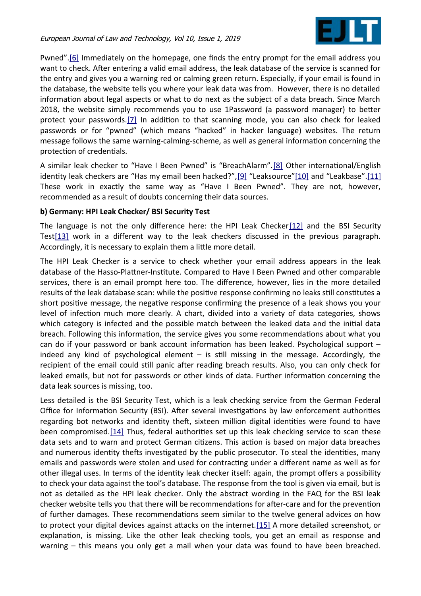<span id="page-2-7"></span><span id="page-2-6"></span><span id="page-2-5"></span><span id="page-2-4"></span><span id="page-2-3"></span>

<span id="page-2-9"></span>Pwned".<sup>[6]</sup> Immediately on the homepage, one finds the entry prompt for the email address you want to check. Afer entering a valid email address, the leak database of the service is scanned for the entry and gives you a warning red or calming green return. Especially, if your email is found in the database, the website tells you where your leak data was from. However, there is no detailed information about legal aspects or what to do next as the subject of a data breach. Since March 2018, the website simply recommends you to use 1Password (a password manager) to beter protect your passwords.<sup>[7]</sup> In addition to that scanning mode, you can also check for leaked passwords or for "pwned" (which means "hacked" in hacker language) websites. The return message follows the same warning-calming-scheme, as well as general information concerning the protection of credentials.

<span id="page-2-8"></span>A similar leak checker to "Have I Been Pwned" is "BreachAlarm". [\[8\]](#page-15-12) Other international/English identity leak checkers are "Has my email been hacked?", [9] "Leaksource" [10] and "Leakbase". [11] These work in exactly the same way as "Have I Been Pwned". They are not, however, recommended as a result of doubts concerning their data sources.

#### **b) Germany: HPI Leak Checker/ BSI Security Test**

<span id="page-2-2"></span>The language is not the only difference here: the HPI Leak Checker $[12]$  and the BSI Security Tes[t\[13\]](#page-15-7) work in a diferent way to the leak checkers discussed in the previous paragraph. Accordingly, it is necessary to explain them a litle more detail.

The HPI Leak Checker is a service to check whether your email address appears in the leak database of the Hasso-Platner-Insttute. Compared to Have I Been Pwned and other comparable services, there is an email prompt here too. The diference, however, lies in the more detailed results of the leak database scan: while the positive response confirming no leaks still constitutes a short positive message, the negative response confirming the presence of a leak shows you your level of infection much more clearly. A chart, divided into a variety of data categories, shows which category is infected and the possible match between the leaked data and the inital data breach. Following this information, the service gives you some recommendations about what you can do if your password or bank account information has been leaked. Psychological support  $$ indeed any kind of psychological element  $-$  is still missing in the message. Accordingly, the recipient of the email could still panic after reading breach results. Also, you can only check for leaked emails, but not for passwords or other kinds of data. Further information concerning the data leak sources is missing, too.

<span id="page-2-1"></span><span id="page-2-0"></span>Less detailed is the BSI Security Test, which is a leak checking service from the German Federal Office for Information Security (BSI). After several investigations by law enforcement authorities regarding bot networks and identity theft, sixteen million digital identities were found to have been compromised[.\[14\]](#page-15-6) Thus, federal authorities set up this leak checking service to scan these data sets and to warn and protect German citizens. This action is based on major data breaches and numerous identity thefts investigated by the public prosecutor. To steal the identities, many emails and passwords were stolen and used for contractng under a diferent name as well as for other illegal uses. In terms of the identty leak checker itself: again, the prompt ofers a possibility to check your data against the tool's database. The response from the tool is given via email, but is not as detailed as the HPI leak checker. Only the abstract wording in the FAQ for the BSI leak checker website tells you that there will be recommendatons for afer-care and for the preventon of further damages. These recommendations seem similar to the twelve general advices on how to protect your digital devices against atacks on the internet.[\[15\]](#page-15-5) A more detailed screenshot, or explanation, is missing. Like the other leak checking tools, you get an email as response and warning – this means you only get a mail when your data was found to have been breached.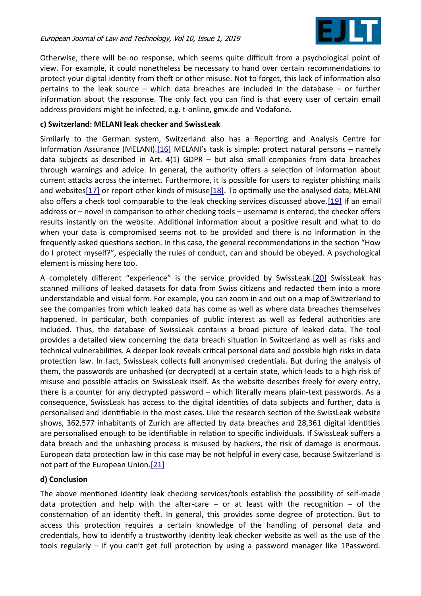<span id="page-3-2"></span><span id="page-3-1"></span>

Otherwise, there will be no response, which seems quite difficult from a psychological point of view. For example, it could nonetheless be necessary to hand over certain recommendatons to protect your digital identity from theft or other misuse. Not to forget, this lack of information also pertains to the leak source – which data breaches are included in the database – or further information about the response. The only fact you can find is that every user of certain email address providers might be infected, e.g. t-online, gmx.de and Vodafone.

#### **c) Switzerland: MELANI leak checker and SwissLeak**

<span id="page-3-5"></span><span id="page-3-4"></span><span id="page-3-3"></span>Similarly to the German system, Switzerland also has a Reporting and Analysis Centre for Information Assurance (MELANI). $[16]$  MELANI's task is simple: protect natural persons – namely data subjects as described in Art. 4(1) GDPR – but also small companies from data breaches through warnings and advice. In general, the authority ofers a selecton of informaton about current atacks across the internet. Furthermore, it is possible for users to register phishing mails and website[s\[17\]](#page-15-19) or report other kinds of misus[e\[18\].](#page-15-18) To optimally use the analysed data, MELANI also offers a check tool comparable to the leak checking services discussed above.[\[19\]](#page-15-17) If an email address or – novel in comparison to other checking tools – username is entered, the checker offers results instantly on the website. Additonal informaton about a positve result and what to do when your data is compromised seems not to be provided and there is no information in the frequently asked questions section. In this case, the general recommendations in the section "How do I protect myself?", especially the rules of conduct, can and should be obeyed. A psychological element is missing here too.

A completely diferent "experience" is the service provided by SwissLeak[.\[20\]](#page-15-16) SwissLeak has scanned millions of leaked datasets for data from Swiss citzens and redacted them into a more understandable and visual form. For example, you can zoom in and out on a map of Switzerland to see the companies from which leaked data has come as well as where data breaches themselves happened. In particular, both companies of public interest as well as federal authorities are included. Thus, the database of SwissLeak contains a broad picture of leaked data. The tool provides a detailed view concerning the data breach situaton in Switzerland as well as risks and technical vulnerabilities. A deeper look reveals critical personal data and possible high risks in data protection law. In fact, SwissLeak collects **full** anonymised credentials. But during the analysis of them, the passwords are unhashed (or decrypted) at a certain state, which leads to a high risk of misuse and possible attacks on SwissLeak itself. As the website describes freely for every entry, there is a counter for any decrypted password – which literally means plain-text passwords. As a consequence, SwissLeak has access to the digital identities of data subjects and further, data is personalised and identfable in the most cases. Like the research secton of the SwissLeak website shows, 362,577 inhabitants of Zurich are affected by data breaches and 28,361 digital identities are personalised enough to be identifiable in relation to specific individuals. If SwissLeak suffers a data breach and the unhashing process is misused by hackers, the risk of damage is enormous. European data protecton law in this case may be not helpful in every case, because Switzerland is not part of the European Union[.\[21\]](#page-15-15)

#### <span id="page-3-0"></span>**d) Conclusion**

The above mentoned identty leak checking services/tools establish the possibility of self-made data protection and help with the after-care  $-$  or at least with the recognition  $-$  of the consternation of an identity theft. In general, this provides some degree of protection. But to access this protection requires a certain knowledge of the handling of personal data and credentals, how to identfy a trustworthy identty leak checker website as well as the use of the tools regularly – if you can't get full protecton by using a password manager like 1Password.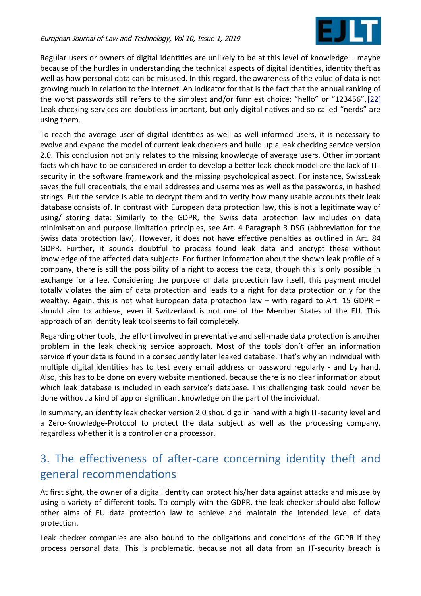<span id="page-4-0"></span>

Regular users or owners of digital identities are unlikely to be at this level of knowledge – maybe because of the hurdles in understanding the technical aspects of digital identities, identity theft as well as how personal data can be misused. In this regard, the awareness of the value of data is not growing much in relaton to the internet. An indicator for that is the fact that the annual ranking of the worst passwords still refers to the simplest and/or funniest choice: "hello" or "123456".[\[22\]](#page-16-0) Leak checking services are doubtless important, but only digital natves and so-called "nerds" are using them.

To reach the average user of digital identities as well as well-informed users, it is necessary to evolve and expand the model of current leak checkers and build up a leak checking service version 2.0. This conclusion not only relates to the missing knowledge of average users. Other important facts which have to be considered in order to develop a beter leak-check model are the lack of ITsecurity in the sofware framework and the missing psychological aspect. For instance, SwissLeak saves the full credentals, the email addresses and usernames as well as the passwords, in hashed strings. But the service is able to decrypt them and to verify how many usable accounts their leak database consists of. In contrast with European data protection law, this is not a legitimate way of using/ storing data: Similarly to the GDPR, the Swiss data protection law includes on data minimisation and purpose limitation principles, see Art. 4 Paragraph 3 DSG (abbreviation for the Swiss data protection law). However, it does not have effective penalties as outlined in Art. 84 GDPR. Further, it sounds doubtful to process found leak data and encrypt these without knowledge of the affected data subjects. For further information about the shown leak profile of a company, there is stll the possibility of a right to access the data, though this is only possible in exchange for a fee. Considering the purpose of data protection law itself, this payment model totally violates the aim of data protection and leads to a right for data protection only for the wealthy. Again, this is not what European data protection law  $-$  with regard to Art. 15 GDPR  $$ should aim to achieve, even if Switzerland is not one of the Member States of the EU. This approach of an identty leak tool seems to fail completely.

Regarding other tools, the efort involved in preventatve and self-made data protecton is another problem in the leak checking service approach. Most of the tools don't ofer an informaton service if your data is found in a consequently later leaked database. That's why an individual with multiple digital identities has to test every email address or password regularly - and by hand. Also, this has to be done on every website mentoned, because there is no clear informaton about which leak database is included in each service's database. This challenging task could never be done without a kind of app or signifcant knowledge on the part of the individual.

In summary, an identty leak checker version 2.0 should go in hand with a high IT-security level and a Zero-Knowledge-Protocol to protect the data subject as well as the processing company, regardless whether it is a controller or a processor.

# 3. The effectiveness of after-care concerning identity theft and general recommendatons

At frst sight, the owner of a digital identty can protect his/her data against atacks and misuse by using a variety of diferent tools. To comply with the GDPR, the leak checker should also follow other aims of EU data protection law to achieve and maintain the intended level of data protection.

Leak checker companies are also bound to the obligations and conditions of the GDPR if they process personal data. This is problematic, because not all data from an IT-security breach is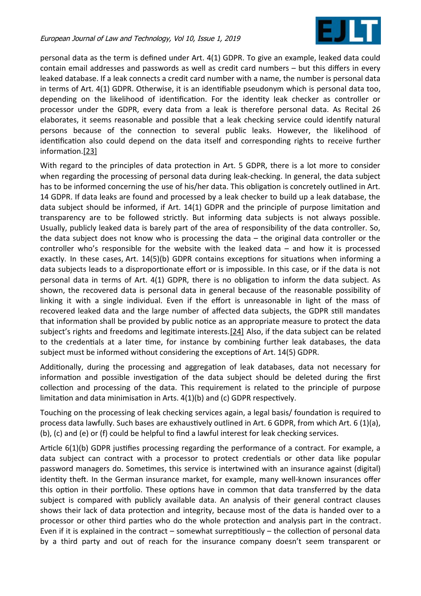

personal data as the term is defned under Art. 4(1) GDPR. To give an example, leaked data could contain email addresses and passwords as well as credit card numbers – but this difers in every leaked database. If a leak connects a credit card number with a name, the number is personal data in terms of Art. 4(1) GDPR. Otherwise, it is an identifiable pseudonym which is personal data too, depending on the likelihood of identification. For the identity leak checker as controller or processor under the GDPR, every data from a leak is therefore personal data. As Recital 26 elaborates, it seems reasonable and possible that a leak checking service could identfy natural persons because of the connection to several public leaks. However, the likelihood of identification also could depend on the data itself and corresponding rights to receive further information[.\[23\]](#page-16-2)

<span id="page-5-1"></span>With regard to the principles of data protection in Art. 5 GDPR, there is a lot more to consider when regarding the processing of personal data during leak-checking. In general, the data subject has to be informed concerning the use of his/her data. This obligation is concretely outlined in Art. 14 GDPR. If data leaks are found and processed by a leak checker to build up a leak database, the data subject should be informed, if Art. 14(1) GDPR and the principle of purpose limitaton and transparency are to be followed strictly. But informing data subjects is not always possible. Usually, publicly leaked data is barely part of the area of responsibility of the data controller. So, the data subject does not know who is processing the data – the original data controller or the controller who's responsible for the website with the leaked data – and how it is processed exactly. In these cases, Art. 14(5)(b) GDPR contains exceptions for situations when informing a data subjects leads to a disproportonate efort or is impossible. In this case, or if the data is not personal data in terms of Art. 4(1) GDPR, there is no obligaton to inform the data subject. As shown, the recovered data is personal data in general because of the reasonable possibility of linking it with a single individual. Even if the effort is unreasonable in light of the mass of recovered leaked data and the large number of affected data subjects, the GDPR still mandates that information shall be provided by public notice as an appropriate measure to protect the data subject's rights and freedoms and legitimate interests. [24] Also, if the data subject can be related to the credentals at a later tme, for instance by combining further leak databases, the data subject must be informed without considering the exceptions of Art. 14(5) GDPR.

<span id="page-5-0"></span>Additonally, during the processing and aggregaton of leak databases, data not necessary for information and possible investigation of the data subject should be deleted during the first collection and processing of the data. This requirement is related to the principle of purpose limitation and data minimisation in Arts. 4(1)(b) and (c) GDPR respectively.

Touching on the processing of leak checking services again, a legal basis/ foundation is required to process data lawfully. Such bases are exhaustively outlined in Art. 6 GDPR, from which Art. 6 (1)(a), (b), (c) and (e) or (f) could be helpful to fnd a lawful interest for leak checking services.

Article 6(1)(b) GDPR justifies processing regarding the performance of a contract. For example, a data subject can contract with a processor to protect credentals or other data like popular password managers do. Sometmes, this service is intertwined with an insurance against (digital) identity theft. In the German insurance market, for example, many well-known insurances offer this option in their portfolio. These options have in common that data transferred by the data subject is compared with publicly available data. An analysis of their general contract clauses shows their lack of data protection and integrity, because most of the data is handed over to a processor or other third parties who do the whole protection and analysis part in the contract. Even if it is explained in the contract – somewhat surreptitiously – the collection of personal data by a third party and out of reach for the insurance company doesn't seem transparent or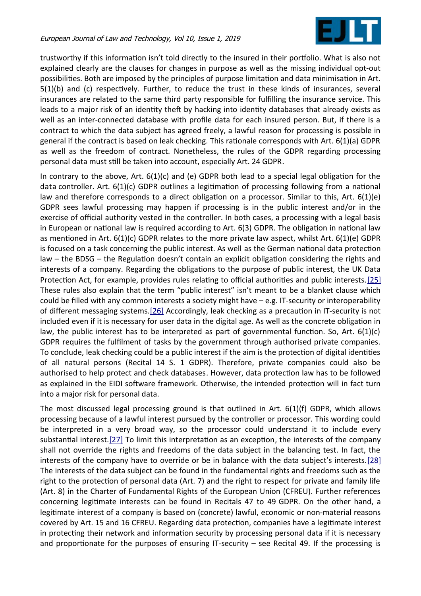<span id="page-6-3"></span>

trustworthy if this information isn't told directly to the insured in their portfolio. What is also not explained clearly are the clauses for changes in purpose as well as the missing individual opt-out possibilities. Both are imposed by the principles of purpose limitation and data minimisation in Art. 5(1)(b) and (c) respectively. Further, to reduce the trust in these kinds of insurances, several insurances are related to the same third party responsible for fulflling the insurance service. This leads to a major risk of an identity theft by hacking into identity databases that already exists as well as an inter-connected database with profile data for each insured person. But, if there is a contract to which the data subject has agreed freely, a lawful reason for processing is possible in general if the contract is based on leak checking. This ratonale corresponds with Art. 6(1)(a) GDPR as well as the freedom of contract. Nonetheless, the rules of the GDPR regarding processing personal data must still be taken into account, especially Art. 24 GDPR.

In contrary to the above, Art.  $6(1)(c)$  and (e) GDPR both lead to a special legal obligation for the data controller. Art. 6(1)(c) GDPR outlines a legitimation of processing following from a national law and therefore corresponds to a direct obligation on a processor. Similar to this, Art. 6(1)(e) GDPR sees lawful processing may happen if processing is in the public interest and/or in the exercise of official authority vested in the controller. In both cases, a processing with a legal basis in European or national law is required according to Art. 6(3) GDPR. The obligation in national law as mentioned in Art.  $6(1)(c)$  GDPR relates to the more private law aspect, whilst Art.  $6(1)(e)$  GDPR is focused on a task concerning the public interest. As well as the German national data protection law – the BDSG – the Regulation doesn't contain an explicit obligation considering the rights and interests of a company. Regarding the obligations to the purpose of public interest, the UK Data Protection Act, for example, provides rules relating to official authorities and public interests. [25] These rules also explain that the term "public interest" isn't meant to be a blanket clause which could be flled with any common interests a society might have – e.g. IT-security or interoperability of different messaging systems. [26] Accordingly, leak checking as a precaution in IT-security is not included even if it is necessary for user data in the digital age. As well as the concrete obligaton in law, the public interest has to be interpreted as part of governmental function. So, Art.  $6(1)(c)$ GDPR requires the fulflment of tasks by the government through authorised private companies. To conclude, leak checking could be a public interest if the aim is the protection of digital identities of all natural persons (Recital 14 S. 1 GDPR). Therefore, private companies could also be authorised to help protect and check databases. However, data protection law has to be followed as explained in the EIDI sofware framework. Otherwise, the intended protecton will in fact turn into a major risk for personal data.

<span id="page-6-2"></span><span id="page-6-1"></span><span id="page-6-0"></span>The most discussed legal processing ground is that outlined in Art. 6(1)(f) GDPR, which allows processing because of a lawful interest pursued by the controller or processor. This wording could be interpreted in a very broad way, so the processor could understand it to include every substantial interest.<sup>[27]</sup> To limit this interpretation as an exception, the interests of the company shall not override the rights and freedoms of the data subject in the balancing test. In fact, the interests of the company have to override or be in balance with the data subject's interests[.\[28\]](#page-16-3) The interests of the data subject can be found in the fundamental rights and freedoms such as the right to the protection of personal data (Art. 7) and the right to respect for private and family life (Art. 8) in the Charter of Fundamental Rights of the European Union (CFREU). Further references concerning legitmate interests can be found in Recitals 47 to 49 GDPR. On the other hand, a legitmate interest of a company is based on (concrete) lawful, economic or non-material reasons covered by Art. 15 and 16 CFREU. Regarding data protection, companies have a legitimate interest in protecting their network and information security by processing personal data if it is necessary and proportionate for the purposes of ensuring IT-security  $-$  see Recital 49. If the processing is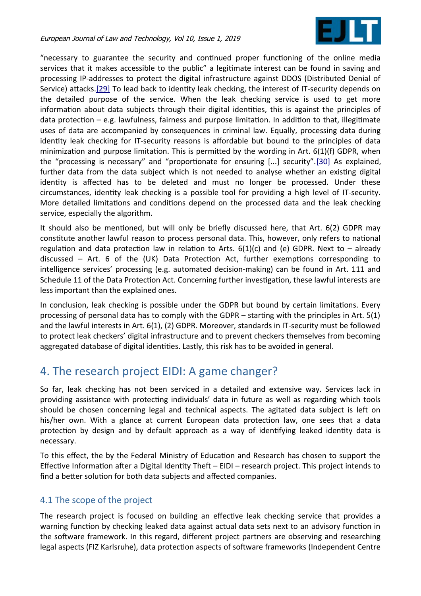<span id="page-7-0"></span>

<span id="page-7-1"></span>"necessary to guarantee the security and contnued proper functoning of the online media services that it makes accessible to the public" a legitmate interest can be found in saving and processing IP-addresses to protect the digital infrastructure against DDOS (Distributed Denial of Service) attacks[.\[29\]](#page-16-8) To lead back to identity leak checking, the interest of IT-security depends on the detailed purpose of the service. When the leak checking service is used to get more information about data subjects through their digital identities, this is against the principles of data protection  $-$  e.g. lawfulness, fairness and purpose limitation. In addition to that, illegitimate uses of data are accompanied by consequences in criminal law. Equally, processing data during identty leak checking for IT-security reasons is afordable but bound to the principles of data minimization and purpose limitation. This is permitted by the wording in Art.  $6(1)(f)$  GDPR, when the "processing is necessary" and "proportionate for ensuring [...] security"[.\[30\]](#page-16-7) As explained, further data from the data subject which is not needed to analyse whether an existing digital identty is afected has to be deleted and must no longer be processed. Under these circumstances, identty leak checking is a possible tool for providing a high level of IT-security. More detailed limitations and conditions depend on the processed data and the leak checking service, especially the algorithm.

It should also be mentioned, but will only be briefly discussed here, that Art. 6(2) GDPR may consttute another lawful reason to process personal data. This, however, only refers to natonal regulation and data protection law in relation to Arts.  $6(1)(c)$  and (e) GDPR. Next to – already discussed – Art. 6 of the (UK) Data Protection Act, further exemptions corresponding to intelligence services' processing (e.g. automated decision-making) can be found in Art. 111 and Schedule 11 of the Data Protection Act. Concerning further investigation, these lawful interests are less important than the explained ones.

In conclusion, leak checking is possible under the GDPR but bound by certain limitations. Every processing of personal data has to comply with the GDPR – starting with the principles in Art. 5(1) and the lawful interests in Art. 6(1), (2) GDPR. Moreover, standards in IT-security must be followed to protect leak checkers' digital infrastructure and to prevent checkers themselves from becoming aggregated database of digital identities. Lastly, this risk has to be avoided in general.

# 4. The research project EIDI: A game changer?

So far, leak checking has not been serviced in a detailed and extensive way. Services lack in providing assistance with protecting individuals' data in future as well as regarding which tools should be chosen concerning legal and technical aspects. The agitated data subject is left on his/her own. With a glance at current European data protection law, one sees that a data protection by design and by default approach as a way of identifying leaked identity data is necessary.

To this efect, the by the Federal Ministry of Educaton and Research has chosen to support the Effective Information after a Digital Identity Theft  $-$  EIDI  $-$  research project. This project intends to find a better solution for both data subjects and affected companies.

## 4.1 The scope of the project

The research project is focused on building an efectve leak checking service that provides a warning function by checking leaked data against actual data sets next to an advisory function in the sofware framework. In this regard, diferent project partners are observing and researching legal aspects (FIZ Karlsruhe), data protection aspects of software frameworks (Independent Centre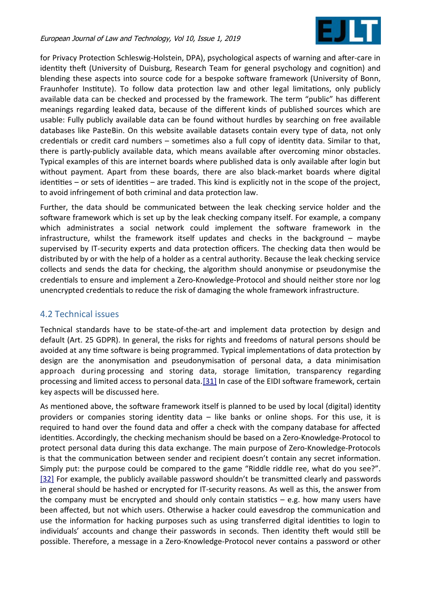

for Privacy Protection Schleswig-Holstein, DPA), psychological aspects of warning and after-care in identity theft (University of Duisburg, Research Team for general psychology and cognition) and blending these aspects into source code for a bespoke software framework (University of Bonn, Fraunhofer Institute). To follow data protection law and other legal limitations, only publicly available data can be checked and processed by the framework. The term "public" has diferent meanings regarding leaked data, because of the diferent kinds of published sources which are usable: Fully publicly available data can be found without hurdles by searching on free available databases like PasteBin. On this website available datasets contain every type of data, not only credentials or credit card numbers  $-$  sometimes also a full copy of identity data. Similar to that, there is partly-publicly available data, which means available afer overcoming minor obstacles. Typical examples of this are internet boards where published data is only available after login but without payment. Apart from these boards, there are also black-market boards where digital identities – or sets of identities – are traded. This kind is explicitly not in the scope of the project, to avoid infringement of both criminal and data protection law.

Further, the data should be communicated between the leak checking service holder and the software framework which is set up by the leak checking company itself. For example, a company which administrates a social network could implement the software framework in the infrastructure, whilst the framework itself updates and checks in the background – maybe supervised by IT-security experts and data protection officers. The checking data then would be distributed by or with the help of a holder as a central authority. Because the leak checking service collects and sends the data for checking, the algorithm should anonymise or pseudonymise the credentals to ensure and implement a Zero-Knowledge-Protocol and should neither store nor log unencrypted credentals to reduce the risk of damaging the whole framework infrastructure.

## 4.2 Technical issues

Technical standards have to be state-of-the-art and implement data protecton by design and default (Art. 25 GDPR). In general, the risks for rights and freedoms of natural persons should be avoided at any time software is being programmed. Typical implementations of data protection by design are the anonymisation and pseudonymisation of personal data, a data minimisation approach during processing and storing data, storage limitation, transparency regarding processing and limited access to personal data[.\[31\]](#page-16-10) In case of the EIDI software framework, certain key aspects will be discussed here.

<span id="page-8-1"></span><span id="page-8-0"></span>As mentioned above, the software framework itself is planned to be used by local (digital) identity providers or companies storing identity data - like banks or online shops. For this use, it is required to hand over the found data and offer a check with the company database for affected identities. Accordingly, the checking mechanism should be based on a Zero-Knowledge-Protocol to protect personal data during this data exchange. The main purpose of Zero-Knowledge-Protocols is that the communication between sender and recipient doesn't contain any secret information. Simply put: the purpose could be compared to the game "Riddle riddle ree, what do you see?". [\[32\]](#page-16-9) For example, the publicly available password shouldn't be transmitted clearly and passwords in general should be hashed or encrypted for IT-security reasons. As well as this, the answer from the company must be encrypted and should only contain statistics  $-$  e.g. how many users have been afected, but not which users. Otherwise a hacker could eavesdrop the communicaton and use the information for hacking purposes such as using transferred digital identities to login to individuals' accounts and change their passwords in seconds. Then identity theft would still be possible. Therefore, a message in a Zero-Knowledge-Protocol never contains a password or other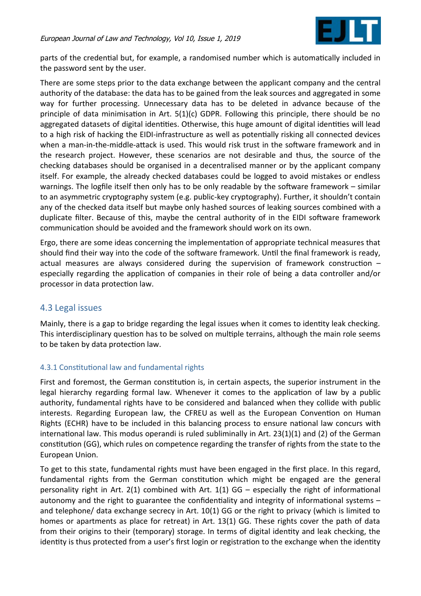

parts of the credential but, for example, a randomised number which is automatically included in the password sent by the user.

There are some steps prior to the data exchange between the applicant company and the central authority of the database: the data has to be gained from the leak sources and aggregated in some way for further processing. Unnecessary data has to be deleted in advance because of the principle of data minimisation in Art. 5(1)(c) GDPR. Following this principle, there should be no aggregated datasets of digital identities. Otherwise, this huge amount of digital identities will lead to a high risk of hacking the EIDI-infrastructure as well as potentally risking all connected devices when a man-in-the-middle-atack is used. This would risk trust in the sofware framework and in the research project. However, these scenarios are not desirable and thus, the source of the checking databases should be organised in a decentralised manner or by the applicant company itself. For example, the already checked databases could be logged to avoid mistakes or endless warnings. The logfle itself then only has to be only readable by the sofware framework – similar to an asymmetric cryptography system (e.g. public-key cryptography). Further, it shouldn't contain any of the checked data itself but maybe only hashed sources of leaking sources combined with a duplicate filter. Because of this, maybe the central authority of in the EIDI software framework communication should be avoided and the framework should work on its own.

Ergo, there are some ideas concerning the implementaton of appropriate technical measures that should find their way into the code of the software framework. Until the final framework is ready, actual measures are always considered during the supervision of framework construction  $$ especially regarding the application of companies in their role of being a data controller and/or processor in data protection law.

## 4.3 Legal issues

Mainly, there is a gap to bridge regarding the legal issues when it comes to identty leak checking. This interdisciplinary question has to be solved on multiple terrains, although the main role seems to be taken by data protection law.

## 4.3.1 Constitutional law and fundamental rights

First and foremost, the German constitution is, in certain aspects, the superior instrument in the legal hierarchy regarding formal law. Whenever it comes to the application of law by a public authority, fundamental rights have to be considered and balanced when they collide with public interests. Regarding European law, the CFREU as well as the European Convention on Human Rights (ECHR) have to be included in this balancing process to ensure national law concurs with international law. This modus operandi is ruled subliminally in Art. 23(1)(1) and (2) of the German consttuton (GG), which rules on competence regarding the transfer of rights from the state to the European Union.

To get to this state, fundamental rights must have been engaged in the frst place. In this regard, fundamental rights from the German constitution which might be engaged are the general personality right in Art.  $2(1)$  combined with Art.  $1(1)$  GG – especially the right of informational autonomy and the right to guarantee the confidentiality and integrity of informational systems  $$ and telephone/ data exchange secrecy in Art. 10(1) GG or the right to privacy (which is limited to homes or apartments as place for retreat) in Art. 13(1) GG. These rights cover the path of data from their origins to their (temporary) storage. In terms of digital identty and leak checking, the identity is thus protected from a user's first login or registration to the exchange when the identity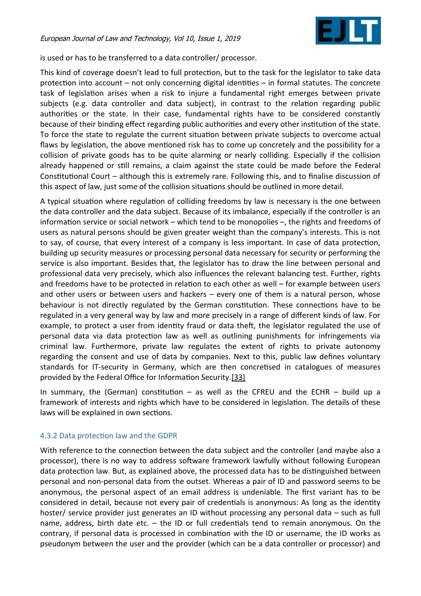

is used or has to be transferred to a data controller/ processor.

This kind of coverage doesn't lead to full protection, but to the task for the legislator to take data protection into account  $-$  not only concerning digital identities  $-$  in formal statutes. The concrete task of legislaton arises when a risk to injure a fundamental right emerges between private subjects (e.g. data controller and data subject), in contrast to the relation regarding public authorites or the state. In their case, fundamental rights have to be considered constantly because of their binding effect regarding public authorities and every other institution of the state. To force the state to regulate the current situation between private subjects to overcome actual flaws by legislation, the above mentioned risk has to come up concretely and the possibility for a collision of private goods has to be quite alarming or nearly colliding. Especially if the collision already happened or still remains, a claim against the state could be made before the Federal Constitutional Court – although this is extremely rare. Following this, and to finalise discussion of this aspect of law, just some of the collision situatons should be outlined in more detail.

A typical situation where regulation of colliding freedoms by law is necessary is the one between the data controller and the data subject. Because of its imbalance, especially if the controller is an information service or social network – which tend to be monopolies –, the rights and freedoms of users as natural persons should be given greater weight than the company's interests. This is not to say, of course, that every interest of a company is less important. In case of data protection, building up security measures or processing personal data necessary for security or performing the service is also important. Besides that, the legislator has to draw the line between personal and professional data very precisely, which also infuences the relevant balancing test. Further, rights and freedoms have to be protected in relation to each other as well – for example between users and other users or between users and hackers – every one of them is a natural person, whose behaviour is not directly regulated by the German constitution. These connections have to be regulated in a very general way by law and more precisely in a range of diferent kinds of law. For example, to protect a user from identity fraud or data theft, the legislator regulated the use of personal data via data protection law as well as outlining punishments for infringements via criminal law. Furthermore, private law regulates the extent of rights to private autonomy regarding the consent and use of data by companies. Next to this, public law defnes voluntary standards for IT-security in Germany, which are then concretised in catalogues of measures provided by the Federal Office for Information Security[.\[33\]](#page-16-11)

<span id="page-10-0"></span>In summary, the (German) constitution  $-$  as well as the CFREU and the ECHR  $-$  build up a framework of interests and rights which have to be considered in legislaton. The details of these laws will be explained in own sections.

#### 4.3.2 Data protection law and the GDPR

With reference to the connection between the data subject and the controller (and maybe also a processor), there is no way to address sofware framework lawfully without following European data protection law. But, as explained above, the processed data has to be distinguished between personal and non-personal data from the outset. Whereas a pair of ID and password seems to be anonymous, the personal aspect of an email address is undeniable. The frst variant has to be considered in detail, because not every pair of credentals is anonymous: As long as the identty hoster/ service provider just generates an ID without processing any personal data – such as full name, address, birth date etc. – the ID or full credentals tend to remain anonymous. On the contrary, if personal data is processed in combinaton with the ID or username, the ID works as pseudonym between the user and the provider (which can be a data controller or processor) and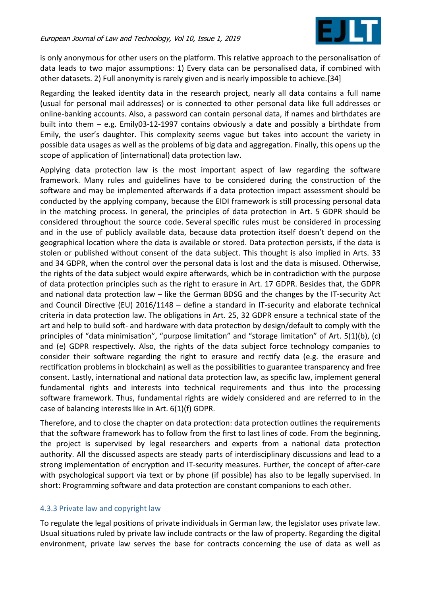<span id="page-11-0"></span>

is only anonymous for other users on the platform. This relative approach to the personalisation of data leads to two major assumptions: 1) Every data can be personalised data, if combined with other datasets. 2) Full anonymity is rarely given and is nearly impossible to achieve[.\[34\]](#page-16-12)

Regarding the leaked identty data in the research project, nearly all data contains a full name (usual for personal mail addresses) or is connected to other personal data like full addresses or online-banking accounts. Also, a password can contain personal data, if names and birthdates are built into them – e.g. Emily03-12-1997 contains obviously a date and possibly a birthdate from Emily, the user's daughter. This complexity seems vague but takes into account the variety in possible data usages as well as the problems of big data and aggregaton. Finally, this opens up the scope of application of (international) data protection law.

Applying data protecton law is the most important aspect of law regarding the sofware framework. Many rules and guidelines have to be considered during the constructon of the software and may be implemented afterwards if a data protection impact assessment should be conducted by the applying company, because the EIDI framework is still processing personal data in the matching process. In general, the principles of data protecton in Art. 5 GDPR should be considered throughout the source code. Several specifc rules must be considered in processing and in the use of publicly available data, because data protection itself doesn't depend on the geographical location where the data is available or stored. Data protection persists, if the data is stolen or published without consent of the data subject. This thought is also implied in Arts. 33 and 34 GDPR, when the control over the personal data is lost and the data is misused. Otherwise, the rights of the data subject would expire afterwards, which be in contradiction with the purpose of data protecton principles such as the right to erasure in Art. 17 GDPR. Besides that, the GDPR and national data protection law  $-$  like the German BDSG and the changes by the IT-security Act and Council Directive (EU)  $2016/1148$  – define a standard in IT-security and elaborate technical criteria in data protection law. The obligations in Art. 25, 32 GDPR ensure a technical state of the art and help to build soft- and hardware with data protection by design/default to comply with the principles of "data minimisation", "purpose limitation" and "storage limitation" of Art. 5(1)(b), (c) and (e) GDPR respectvely. Also, the rights of the data subject force technology companies to consider their sofware regarding the right to erasure and rectfy data (e.g. the erasure and rectification problems in blockchain) as well as the possibilities to guarantee transparency and free consent. Lastly, international and national data protection law, as specific law, implement general fundamental rights and interests into technical requirements and thus into the processing software framework. Thus, fundamental rights are widely considered and are referred to in the case of balancing interests like in Art. 6(1)(f) GDPR.

Therefore, and to close the chapter on data protection: data protection outlines the requirements that the sofware framework has to follow from the frst to last lines of code. From the beginning, the project is supervised by legal researchers and experts from a national data protection authority. All the discussed aspects are steady parts of interdisciplinary discussions and lead to a strong implementation of encryption and IT-security measures. Further, the concept of after-care with psychological support via text or by phone (if possible) has also to be legally supervised. In short: Programming software and data protection are constant companions to each other.

## 4.3.3 Private law and copyright law

To regulate the legal positons of private individuals in German law, the legislator uses private law. Usual situations ruled by private law include contracts or the law of property. Regarding the digital environment, private law serves the base for contracts concerning the use of data as well as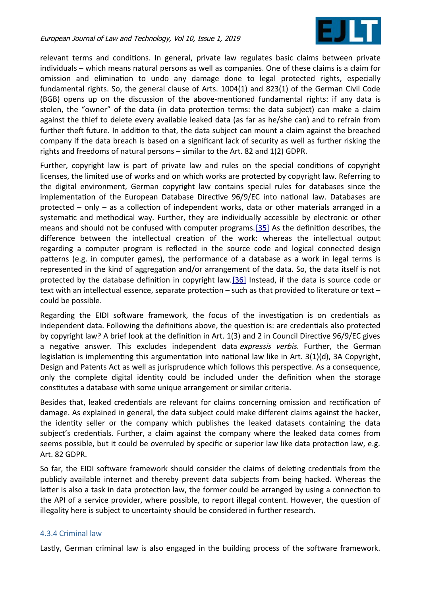<span id="page-12-1"></span>

relevant terms and conditons. In general, private law regulates basic claims between private individuals – which means natural persons as well as companies. One of these claims is a claim for omission and elimination to undo any damage done to legal protected rights, especially fundamental rights. So, the general clause of Arts. 1004(1) and 823(1) of the German Civil Code (BGB) opens up on the discussion of the above-mentoned fundamental rights: if any data is stolen, the "owner" of the data (in data protecton terms: the data subject) can make a claim against the thief to delete every available leaked data (as far as he/she can) and to refrain from further theft future. In addition to that, the data subject can mount a claim against the breached company if the data breach is based on a signifcant lack of security as well as further risking the rights and freedoms of natural persons – similar to the Art. 82 and 1(2) GDPR.

Further, copyright law is part of private law and rules on the special conditons of copyright licenses, the limited use of works and on which works are protected by copyright law. Referring to the digital environment, German copyright law contains special rules for databases since the implementation of the European Database Directive 96/9/EC into national law. Databases are protected – only – as a collection of independent works, data or other materials arranged in a systematic and methodical way. Further, they are individually accessible by electronic or other means and should not be confused with computer programs. [35] As the definition describes, the diference between the intellectual creaton of the work: whereas the intellectual output regarding a computer program is refected in the source code and logical connected design paterns (e.g. in computer games), the performance of a database as a work in legal terms is represented in the kind of aggregation and/or arrangement of the data. So, the data itself is not protected by the database definition in copyright law. [\[36\]](#page-16-13) Instead, if the data is source code or text with an intellectual essence, separate protection - such as that provided to literature or text could be possible.

<span id="page-12-0"></span>Regarding the EIDI sofware framework, the focus of the investgaton is on credentals as independent data. Following the definitions above, the question is: are credentials also protected by copyright law? A brief look at the definition in Art. 1(3) and 2 in Council Directive 96/9/EC gives a negative answer. This excludes independent data *expressis verbis*. Further, the German legislation is implementing this argumentation into national law like in Art.  $3(1)(d)$ , 3A Copyright, Design and Patents Act as well as jurisprudence which follows this perspective. As a consequence, only the complete digital identity could be included under the definition when the storage constitutes a database with some unique arrangement or similar criteria.

Besides that, leaked credentials are relevant for claims concerning omission and rectification of damage. As explained in general, the data subject could make diferent claims against the hacker, the identty seller or the company which publishes the leaked datasets containing the data subject's credentals. Further, a claim against the company where the leaked data comes from seems possible, but it could be overruled by specific or superior law like data protection law, e.g. Art. 82 GDPR.

So far, the EIDI sofware framework should consider the claims of deletng credentals from the publicly available internet and thereby prevent data subjects from being hacked. Whereas the latter is also a task in data protection law, the former could be arranged by using a connection to the API of a service provider, where possible, to report illegal content. However, the queston of illegality here is subject to uncertainty should be considered in further research.

## 4.3.4 Criminal law

Lastly, German criminal law is also engaged in the building process of the software framework.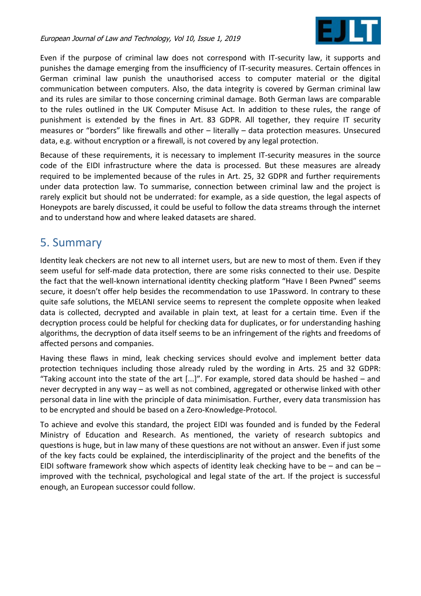

Even if the purpose of criminal law does not correspond with IT-security law, it supports and punishes the damage emerging from the insufficiency of IT-security measures. Certain offences in German criminal law punish the unauthorised access to computer material or the digital communication between computers. Also, the data integrity is covered by German criminal law and its rules are similar to those concerning criminal damage. Both German laws are comparable to the rules outlined in the UK Computer Misuse Act. In additon to these rules, the range of punishment is extended by the fnes in Art. 83 GDPR. All together, they require IT security measures or "borders" like frewalls and other – literally – data protecton measures. Unsecured data, e.g. without encryption or a firewall, is not covered by any legal protection.

Because of these requirements, it is necessary to implement IT-security measures in the source code of the EIDI infrastructure where the data is processed. But these measures are already required to be implemented because of the rules in Art. 25, 32 GDPR and further requirements under data protection law. To summarise, connection between criminal law and the project is rarely explicit but should not be underrated: for example, as a side question, the legal aspects of Honeypots are barely discussed, it could be useful to follow the data streams through the internet and to understand how and where leaked datasets are shared.

# 5. Summary

Identity leak checkers are not new to all internet users, but are new to most of them. Even if they seem useful for self-made data protection, there are some risks connected to their use. Despite the fact that the well-known international identity checking platform "Have I Been Pwned" seems secure, it doesn't offer help besides the recommendation to use 1Password. In contrary to these quite safe solutons, the MELANI service seems to represent the complete opposite when leaked data is collected, decrypted and available in plain text, at least for a certain tme. Even if the decryption process could be helpful for checking data for duplicates, or for understanding hashing algorithms, the decryption of data itself seems to be an infringement of the rights and freedoms of afected persons and companies.

Having these flaws in mind, leak checking services should evolve and implement better data protection techniques including those already ruled by the wording in Arts. 25 and 32 GDPR: "Taking account into the state of the art [...]". For example, stored data should be hashed – and never decrypted in any way – as well as not combined, aggregated or otherwise linked with other personal data in line with the principle of data minimisation. Further, every data transmission has to be encrypted and should be based on a Zero-Knowledge-Protocol.

To achieve and evolve this standard, the project EIDI was founded and is funded by the Federal Ministry of Educaton and Research. As mentoned, the variety of research subtopics and questions is huge, but in law many of these questions are not without an answer. Even if just some of the key facts could be explained, the interdisciplinarity of the project and the benefts of the EIDI software framework show which aspects of identity leak checking have to be  $-$  and can be  $$ improved with the technical, psychological and legal state of the art. If the project is successful enough, an European successor could follow.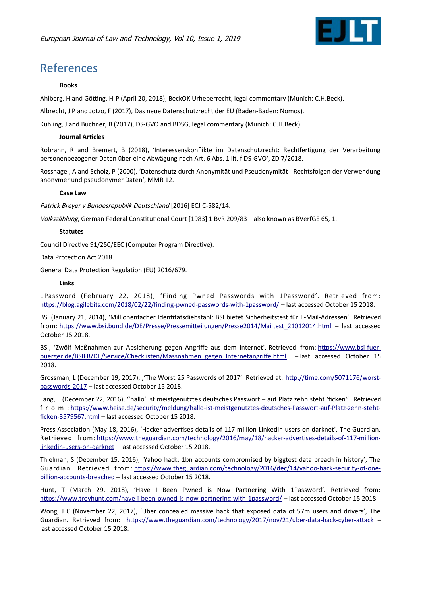

# References

#### **Books**

Ahlberg, H and Götting, H-P (April 20, 2018), BeckOK Urheberrecht, legal commentary (Munich: C.H.Beck).

Albrecht, J P and Jotzo, F (2017), Das neue Datenschutzrecht der EU (Baden-Baden: Nomos).

Kühling, J and Buchner, B (2017), DS-GVO and BDSG, legal commentary (Munich: C.H.Beck).

#### **Journal Articles**

Robrahn, R and Bremert, B (2018), 'Interessenskonflikte im Datenschutzrecht: Rechtfertigung der Verarbeitung personenbezogener Daten über eine Abwägung nach Art. 6 Abs. 1 lit. f DS-GVO', ZD 7/2018.

Rossnagel, A and Scholz, P (2000), 'Datenschutz durch Anonymität und Pseudonymität - Rechtsfolgen der Verwendung anonymer und pseudonymer Daten', MMR 12.

#### **Case Law**

Patrick Breyer v Bundesrepublik Deutschland [2016] ECJ C-582/14.

Volkszählung, German Federal Constitutional Court [1983] 1 BvR 209/83 - also known as BVerfGE 65, 1.

#### **Statutes**

Council Directive 91/250/EEC (Computer Program Directive).

Data Protection Act 2018.

General Data Protecton Regulaton (EU) 2016/679.

#### **Links**

1Password (February 22, 2018), 'Finding Pwned Passwords with 1Password'. Retrieved from: https://blog.agilebits.com/2018/02/22/finding-pwned-passwords-with-1password/ – last accessed October 15 2018.

BSI (January 21, 2014), 'Millionenfacher Identtätsdiebstahl: BSI bietet Sicherheitstest für E-Mail-Adressen'. Retrieved from: [htps://www.bsi.bund.de/DE/Presse/Pressemiteilungen/Presse2014/Mailtest\\_21012014.html](https://www.bsi.bund.de/DE/Presse/Pressemitteilungen/Presse2014/Mailtest_21012014.html) – last accessed October 15 2018.

BSI, 'Zwölf Maßnahmen zur Absicherung gegen Angrife aus dem Internet'. Retrieved from: [htps://www.bsi-fuer](https://www.bsi-fuer-buerger.de/BSIFB/DE/Service/Checklisten/Massnahmen_gegen_Internetangriffe.html)[buerger.de/BSIFB/DE/Service/Checklisten/Massnahmen\\_gegen\\_Internetangrife.html](https://www.bsi-fuer-buerger.de/BSIFB/DE/Service/Checklisten/Massnahmen_gegen_Internetangriffe.html) – last accessed October 15 2018.

Grossman, L (December 19, 2017), ''The Worst 25 Passwords of 2017'. Retrieved at: [htp://tme.com/5071176/worst](http://time.com/5071176/worst-passwords-2017)[passwords-2017](http://time.com/5071176/worst-passwords-2017) – last accessed October 15 2018.

Lang, L (December 22, 2016), ''hallo' ist meistgenutztes deutsches Passwort – auf Platz zehn steht 'fcken''. Retrieved f r o m : [htps://www.heise.de/security/meldung/hallo-ist-meistgenutztes-deutsches-Passwort-auf-Platz-zehn-steht](https://www.heise.de/security/meldung/hallo-ist-meistgenutztes-deutsches-Passwort-auf-Platz-zehn-steht-ficken-3579567.html)ficken-3579567.html - last accessed October 15 2018.

Press Association (May 18, 2016), 'Hacker advertises details of 117 million LinkedIn users on darknet', The Guardian. Retrieved from: https://www.theguardian.com/technology/2016/may/18/hacker-advertises-details-of-117-million[linkedin-users-on-darknet](https://www.theguardian.com/technology/2016/may/18/hacker-advertises-details-of-117-million-linkedin-users-on-darknet) – last accessed October 15 2018.

Thielman, S (December 15, 2016), 'Yahoo hack: 1bn accounts compromised by biggtest data breach in history', The Guardian. Retrieved from: https://www.theguardian.com/technology/2016/dec/14/yahoo-hack-security-of-one[billion-accounts-breached](https://www.theguardian.com/technology/2016/dec/14/yahoo-hack-security-of-one-billion-accounts-breached) – last accessed October 15 2018.

Hunt, T (March 29, 2018), 'Have I Been Pwned is Now Partnering With 1Password'. Retrieved from: [htps://www.troyhunt.com/have-i-been-pwned-is-now-partnering-with-1password/](https://www.troyhunt.com/have-i-been-pwned-is-now-partnering-with-1password/) – last accessed October 15 2018.

Wong, J C (November 22, 2017), 'Uber concealed massive hack that exposed data of 57m users and drivers', The Guardian. Retrieved from: https://www.theguardian.com/technology/2017/nov/21/uber-data-hack-cyber-attack – last accessed October 15 2018.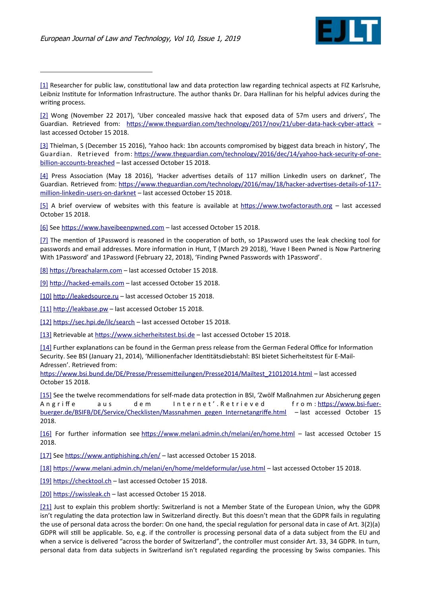

<span id="page-15-3"></span>[\[1\]](#page-0-3) Researcher for public law, constitutional law and data protection law regarding technical aspects at FIZ Karlsruhe, Leibniz Institute for Information Infrastructure. The author thanks Dr. Dara Hallinan for his helpful advices during the writing process.

<span id="page-15-2"></span>[\[2\]](#page-0-2) Wong (November 22 2017), 'Uber concealed massive hack that exposed data of 57m users and drivers', The Guardian. Retrieved from: [htps://www.theguardian.com/technology/2017/nov/21/uber-data-hack-cyber-atack](https://www.theguardian.com/technology/2017/nov/21/uber-data-hack-cyber-attack) – last accessed October 15 2018.

<span id="page-15-1"></span>[\[3\]](#page-0-1) Thielman, S (December 15 2016), 'Yahoo hack: 1bn accounts compromised by biggest data breach in history', The Guardian. Retrieved from: [htps://www.theguardian.com/technology/2016/dec/14/yahoo-hack-security-of-one](https://www.theguardian.com/technology/2016/dec/14/yahoo-hack-security-of-one-billion-accounts-breached)[billion-accounts-breached](https://www.theguardian.com/technology/2016/dec/14/yahoo-hack-security-of-one-billion-accounts-breached) – last accessed October 15 2018.

<span id="page-15-0"></span>[\[4\]](#page-0-0) Press Association (May 18 2016), 'Hacker advertises details of 117 million LinkedIn users on darknet', The Guardian. Retrieved from: [htps://www.theguardian.com/technology/2016/may/18/hacker-advertses-details-of-117](https://www.theguardian.com/technology/2016/may/18/hacker-advertises-details-of-117-million-linkedin-users-on-darknet) [million-linkedin-users-on-darknet](https://www.theguardian.com/technology/2016/may/18/hacker-advertises-details-of-117-million-linkedin-users-on-darknet) – last accessed October 15 2018.

<span id="page-15-4"></span>[\[5\]](#page-1-0) A brief overview of websites with this feature is available at https://www.twofactorauth.org - last accessed October 15 2018.

<span id="page-15-14"></span>[\[6\]](#page-2-9) See https://www.haveibeenpwned.com - last accessed October 15 2018.

<span id="page-15-13"></span>[\[7\]](#page-2-8) The mention of 1Password is reasoned in the cooperation of both, so 1Password uses the leak checking tool for passwords and email addresses. More information in Hunt, T (March 29 2018), 'Have I Been Pwned is Now Partnering With 1Password' and 1Password (February 22, 2018), 'Finding Pwned Passwords with 1Password'.

<span id="page-15-12"></span>[\[8\]](#page-2-7) https://breachalarm.com - last accessed October 15 2018.

<span id="page-15-11"></span>[\[9\]](#page-2-6) [htp://hacked-emails.com](http://hacked-emails.com/) – last accessed October 15 2018.

<span id="page-15-10"></span>[\[10\]](#page-2-5) [htp://leakedsource.ru](http://leakedsource.ru/) – last accessed October 15 2018.

<span id="page-15-9"></span>[\[11\]](#page-2-4) http://leakbase.pw - last accessed October 15 2018.

<span id="page-15-8"></span>[\[12\]](#page-2-3) https://sec.hpi.de/ilc/search – last accessed October 15 2018.

<span id="page-15-7"></span>[\[13\]](#page-2-2) Retrievable at [htps://www.sicherheitstest.bsi.de](https://www.sicherheitstest.bsi.de/) – last accessed October 15 2018.

<span id="page-15-6"></span>[\[14\]](#page-2-1) Further explanations can be found in the German press release from the German Federal Office for Information Security. See BSI (January 21, 2014), 'Millionenfacher Identtätsdiebstahl: BSI bietet Sicherheitstest für E-Mail-Adressen'. Retrieved from:

[htps://www.bsi.bund.de/DE/Presse/Pressemiteilungen/Presse2014/Mailtest\\_21012014.html](https://www.bsi.bund.de/DE/Presse/Pressemitteilungen/Presse2014/Mailtest_21012014.html) – last accessed October 15 2018.

<span id="page-15-5"></span>[\[15\]](#page-2-0) See the twelve recommendatons for self-made data protecton in BSI, 'Zwölf Maßnahmen zur Absicherung gegen Angriffe aus dem Internet'.Retrieved from:https://www.bsi-fuerbuerger.de/BSIFB/DE/Service/Checklisten/Massnahmen\_gegen\_Internetangriffe.html – last accessed October 15 2018.

<span id="page-15-20"></span>[\[16\]](#page-3-5) For further information see https://www.melani.admin.ch/melani/en/home.html - last accessed October 15 2018.

<span id="page-15-19"></span>[\[17\]](#page-3-4) See https://www.antiphishing.ch/en/ - last accessed October 15 2018.

<span id="page-15-18"></span>[\[18\]](#page-3-3) [htps://www.melani.admin.ch/melani/en/home/meldeformular/use.html](https://www.melani.admin.ch/melani/en/home/meldeformular/use.html) – last accessed October 15 2018.

<span id="page-15-17"></span>[\[19\]](#page-3-2) https://checktool.ch – last accessed October 15 2018.

<span id="page-15-16"></span>[\[20\]](#page-3-1) https://swissleak.ch - last accessed October 15 2018.

<span id="page-15-15"></span>[\[21\]](#page-3-0) Just to explain this problem shortly: Switzerland is not a Member State of the European Union, why the GDPR isn't regulating the data protection law in Switzerland directly. But this doesn't mean that the GDPR fails in regulating the use of personal data across the border: On one hand, the special regulation for personal data in case of Art. 3(2)(a) GDPR will stll be applicable. So, e.g. if the controller is processing personal data of a data subject from the EU and when a service is delivered "across the border of Switzerland", the controller must consider Art. 33, 34 GDPR. In turn, personal data from data subjects in Switzerland isn't regulated regarding the processing by Swiss companies. This